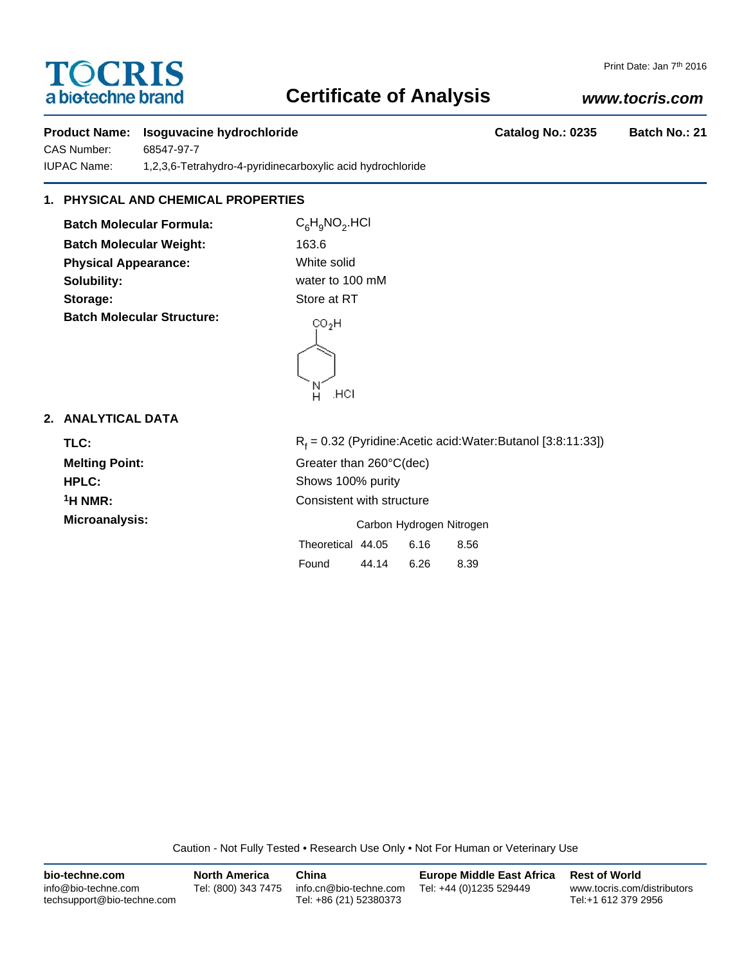# **TOCRIS** a biotechne brand

#### Print Date: Jan 7<sup>th</sup> 2016

### **Certificate of Analysis**

### *www.tocris.com*

## **Product Name: Isoguvacine hydrochloride Catalog No.: 0235 Batch No.: 21** CAS Number: 68547-97-7 IUPAC Name: 1,2,3,6-Tetrahydro-4-pyridinecarboxylic acid hydrochloride **1. PHYSICAL AND CHEMICAL PROPERTIES Batch Molecular Formula:** C<sub>6</sub>H<sub>9</sub>NO<sub>2</sub>.HCl **Batch Molecular Weight:** 163.6 **Physical Appearance:** White solid **Solubility:** water to 100 mM **Storage:** Store at RT **Batch Molecular Structure:**  $CO<sub>2</sub>H$ н нег **2. ANALYTICAL DATA**  $R_f$  = 0.32 (Pyridine:Acetic acid:Water:Butanol [3:8:11:33]) TLC: R<sub>f</sub> **Melting Point:** Greater than 260°C(dec) **HPLC:** Shows 100% purity **1H NMR:** Consistent with structure **Microanalysis:** Microanalysis: **Carbon Hydrogen Nitrogen** Theoretical 44.05 6.16 8.56 Found 44.14 6.26 8.39

Caution - Not Fully Tested • Research Use Only • Not For Human or Veterinary Use

| bio-techne.com                                    | <b>North America</b> | China                                            | <b>Europe Middle East Africa</b> | <b>Rest of World</b>                               |
|---------------------------------------------------|----------------------|--------------------------------------------------|----------------------------------|----------------------------------------------------|
| info@bio-techne.com<br>techsupport@bio-techne.com | Tel: (800) 343 7475  | info.cn@bio-techne.com<br>Tel: +86 (21) 52380373 | Tel: +44 (0)1235 529449          | www.tocris.com/distributors<br>Tel:+1 612 379 2956 |